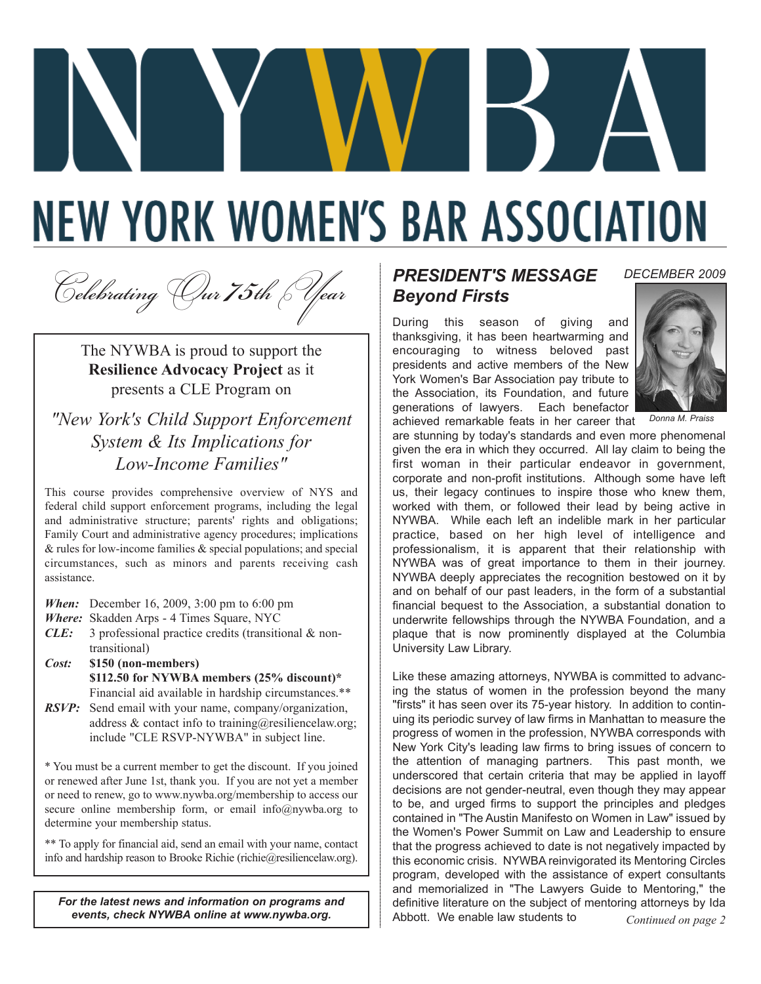# **NEW YORK WOMEN'S BAR ASSOCIATION**

<sup>C</sup>*elebrating* O*ur 75th* Y*ear*

The NYWBA is proud to support the **Resilience Advocacy Project** as it presents a CLE Program on

#### *"New York's Child Support Enforcement System & Its Implications for Low-Income Families"*

This course provides comprehensive overview of NYS and federal child support enforcement programs, including the legal and administrative structure; parents' rights and obligations; Family Court and administrative agency procedures; implications & rules for low-income families & special populations; and special circumstances, such as minors and parents receiving cash assistance.

*When:* December 16, 2009, 3:00 pm to 6:00 pm

*Where:* Skadden Arps - 4 Times Square, NYC

- *CLE:* 3 professional practice credits (transitional & nontransitional)
- *Cost:* **\$150 (non-members) \$112.50 for NYWBA members (25% discount)\***  Financial aid available in hardship circumstances.\*\*
- *RSVP:* Send email with your name, company/organization, address & contact info to training@resiliencelaw.org; include "CLE RSVP-NYWBA" in subject line.

\* You must be a current member to get the discount. If you joined or renewed after June 1st, thank you. If you are not yet a member or need to renew, go to www.nywba.org/membership to access our secure online membership form, or email info@nywba.org to determine your membership status.

\*\* To apply for financial aid, send an email with your name, contact info and hardship reason to Brooke Richie (richie@resiliencelaw.org).

*For the latest news and information on programs and events, check NYWBA online at www.nywba.org.*

#### *PRESIDENT'S MESSAGE Beyond Firsts*

During this season of giving and thanksgiving, it has been heartwarming and encouraging to witness beloved past presidents and active members of the New York Women's Bar Association pay tribute to the Association, its Foundation, and future generations of lawyers. Each benefactor achieved remarkable feats in her career that



*DECEMBER 2009*

*Donna M. Praiss*

are stunning by today's standards and even more phenomenal given the era in which they occurred. All lay claim to being the first woman in their particular endeavor in government, corporate and non-profit institutions. Although some have left us, their legacy continues to inspire those who knew them, worked with them, or followed their lead by being active in NYWBA. While each left an indelible mark in her particular practice, based on her high level of intelligence and professionalism, it is apparent that their relationship with NYWBA was of great importance to them in their journey. NYWBA deeply appreciates the recognition bestowed on it by and on behalf of our past leaders, in the form of a substantial financial bequest to the Association, a substantial donation to underwrite fellowships through the NYWBA Foundation, and a plaque that is now prominently displayed at the Columbia University Law Library.

Like these amazing attorneys, NYWBA is committed to advancing the status of women in the profession beyond the many "firsts" it has seen over its 75-year history. In addition to continuing its periodic survey of law firms in Manhattan to measure the progress of women in the profession, NYWBA corresponds with New York City's leading law firms to bring issues of concern to the attention of managing partners. This past month, we underscored that certain criteria that may be applied in layoff decisions are not gender-neutral, even though they may appear to be, and urged firms to support the principles and pledges contained in "The Austin Manifesto on Women in Law" issued by the Women's Power Summit on Law and Leadership to ensure that the progress achieved to date is not negatively impacted by this economic crisis. NYWBA reinvigorated its Mentoring Circles program, developed with the assistance of expert consultants and memorialized in "The Lawyers Guide to Mentoring," the definitive literature on the subject of mentoring attorneys by Ida Abbott. We enable law students to *Continued on page 2*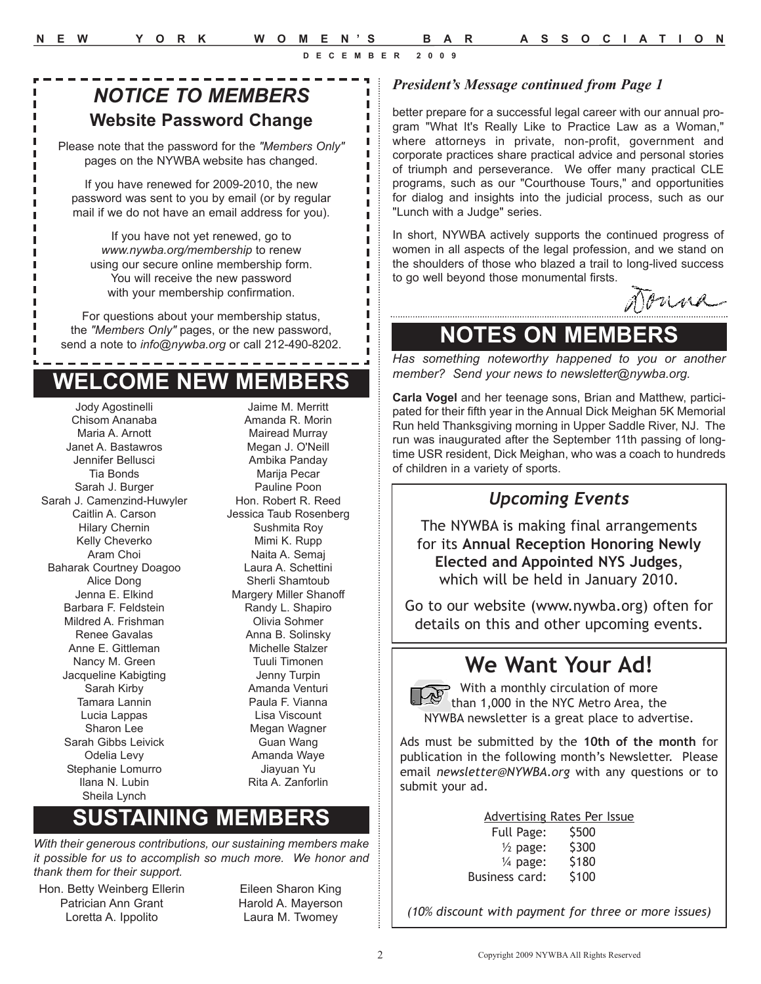п I I I п

# *NOTICE TO MEMBERS* **Website Password Change**

Please note that the password for the *"Members Only"* pages on the NYWBA website has changed.

If you have renewed for 2009-2010, the new password was sent to you by email (or by regular mail if we do not have an email address for you).

If you have not yet renewed, go to *www.nywba.org/membership* to renew using our secure online membership form. You will receive the new password with your membership confirmation.

For questions about your membership status, the *"Members Only"* pages, or the new password, send a note to *info@nywba.org* or call 212-490-8202.

# **WELCOME NEW MEMBERS**

Jody Agostinelli Chisom Ananaba Maria A. Arnott Janet A. Bastawros Jennifer Bellusci Tia Bonds Sarah J. Burger Sarah J. Camenzind-Huwyler Caitlin A. Carson Hilary Chernin Kelly Cheverko Aram Choi Baharak Courtney Doagoo Alice Dong Jenna E. Elkind Barbara F. Feldstein Mildred A. Frishman Renee Gavalas Anne E. Gittleman Nancy M. Green Jacqueline Kabigting Sarah Kirby Tamara Lannin Lucia Lappas Sharon Lee Sarah Gibbs Leivick Odelia Levy Stephanie Lomurro Ilana N. Lubin Sheila Lynch

Jaime M. Merritt Amanda R. Morin Mairead Murray Megan J. O'Neill Ambika Panday Marija Pecar Pauline Poon Hon. Robert R. Reed Jessica Taub Rosenberg Sushmita Roy Mimi K. Rupp Naita A. Semaj Laura A. Schettini Sherli Shamtoub Margery Miller Shanoff Randy L. Shapiro Olivia Sohmer Anna B. Solinsky Michelle Stalzer Tuuli Timonen Jenny Turpin Amanda Venturi Paula F. Vianna Lisa Viscount Megan Wagner Guan Wang Amanda Waye Jiayuan Yu Rita A. Zanforlin

# **SUSTAINING MEMBERS**

*With their generous contributions, our sustaining members make it possible for us to accomplish so much more. We honor and thank them for their support.*

- Hon. Betty Weinberg Ellerin Patrician Ann Grant Loretta A. Ippolito
- Eileen Sharon King Harold A. Mayerson Laura M. Twomey

#### *President's Message continued from Page 1*

better prepare for a successful legal career with our annual program "What It's Really Like to Practice Law as a Woman," where attorneys in private, non-profit, government and corporate practices share practical advice and personal stories of triumph and perseverance. We offer many practical CLE programs, such as our "Courthouse Tours," and opportunities for dialog and insights into the judicial process, such as our "Lunch with a Judge" series.

In short, NYWBA actively supports the continued progress of women in all aspects of the legal profession, and we stand on the shoulders of those who blazed a trail to long-lived success to go well beyond those monumental firsts.

puna

#### **NOTES ON MEMBERS**

*Has something noteworthy happened to you or another member? Send your news to newsletter@nywba.org.*

**Carla Vogel** and her teenage sons, Brian and Matthew, participated for their fifth year in the Annual Dick Meighan 5K Memorial Run held Thanksgiving morning in Upper Saddle River, NJ. The run was inaugurated after the September 11th passing of longtime USR resident, Dick Meighan, who was a coach to hundreds of children in a variety of sports.

#### *Upcoming Events*

The NYWBA is making final arrangements for its **Annual Reception Honoring Newly Elected and Appointed NYS Judges**, which will be held in January 2010.

Go to our website (www.nywba.org) often for details on this and other upcoming events.

# **We Want Your Ad!**

With a monthly circulation of more than 1,000 in the NYC Metro Area, the NYWBA newsletter is a great place to advertise.

Ads must be submitted by the **10th of the month** for publication in the following month's Newsletter. Please email *newsletter@NYWBA.org* with any questions or to submit your ad.

| <b>Advertising Rates Per Issue</b> |       |  |
|------------------------------------|-------|--|
| Full Page:                         | \$500 |  |

| $\frac{1}{2}$ page: | \$300 |
|---------------------|-------|
| $\frac{1}{4}$ page: | \$180 |
| Business card:      | \$100 |

*(10% discount with payment for three or more issues)*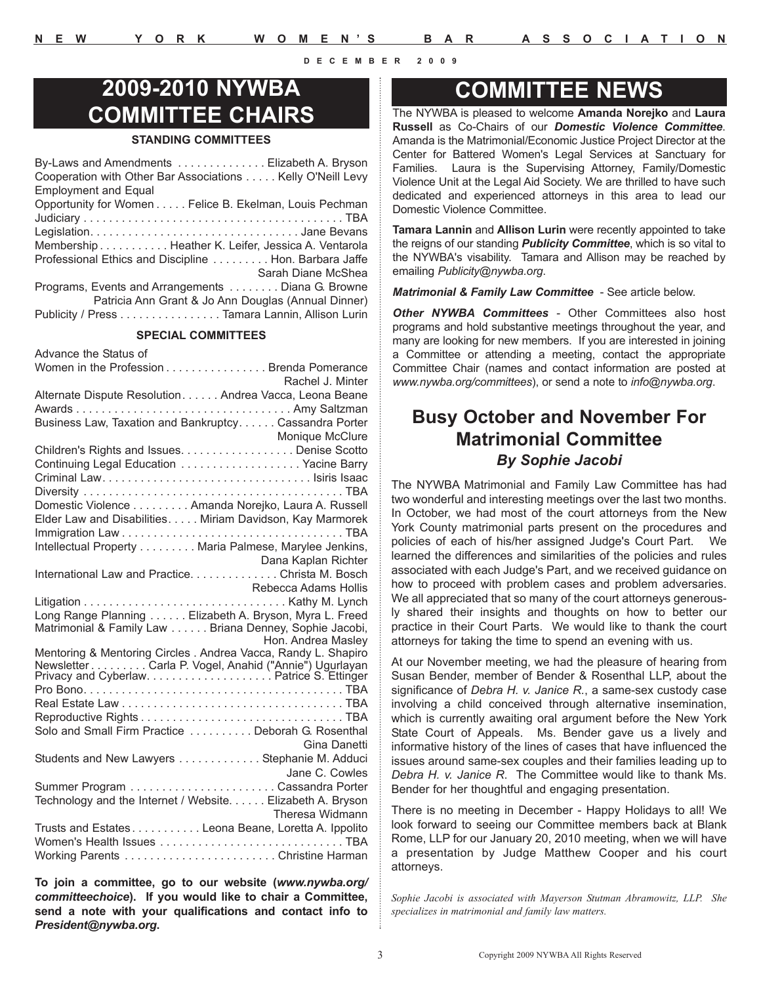# **2009-2010 NYWBA COMMITTEE CHAIRS**

#### **STANDING COMMITTEES**

| By-Laws and Amendments Elizabeth A. Bryson                 |
|------------------------------------------------------------|
| Cooperation with Other Bar Associations Kelly O'Neill Levy |
| <b>Employment and Equal</b>                                |
| Opportunity for Women Felice B. Ekelman, Louis Pechman     |
|                                                            |
|                                                            |
| Membership Heather K. Leifer, Jessica A. Ventarola         |
| Professional Ethics and Discipline Hon. Barbara Jaffe      |
| Sarah Diane McShea                                         |
| Programs, Events and Arrangements  Diana G. Browne         |
| Patricia Ann Grant & Jo Ann Douglas (Annual Dinner)        |
| Publicity / Press Tamara Lannin, Allison Lurin             |
|                                                            |

#### **SPECIAL COMMITTEES**

Advance the Status of

| Women in the Profession Brenda Pomerance                                |                        |
|-------------------------------------------------------------------------|------------------------|
|                                                                         | Rachel J. Minter       |
| Alternate Dispute Resolution Andrea Vacca, Leona Beane                  |                        |
|                                                                         |                        |
| Business Law, Taxation and Bankruptcy. Cassandra Porter                 |                        |
|                                                                         | <b>Monique McClure</b> |
| Children's Rights and Issues. Denise Scotto                             |                        |
| Continuing Legal Education Yacine Barry                                 |                        |
|                                                                         |                        |
|                                                                         |                        |
| Domestic Violence Amanda Norejko, Laura A. Russell                      |                        |
| Elder Law and Disabilities. Miriam Davidson, Kay Marmorek               |                        |
|                                                                         |                        |
| Intellectual Property Maria Palmese, Marylee Jenkins,                   |                        |
| Dana Kaplan Richter<br>International Law and Practice. Christa M. Bosch |                        |
|                                                                         |                        |
|                                                                         | Rebecca Adams Hollis   |
|                                                                         |                        |
| Long Range Planning Elizabeth A. Bryson, Myra L. Freed                  |                        |
| Matrimonial & Family Law Briana Denney, Sophie Jacobi,                  |                        |
| Mentoring & Mentoring Circles . Andrea Vacca, Randy L. Shapiro          | Hon. Andrea Masley     |
|                                                                         |                        |
|                                                                         |                        |
|                                                                         |                        |
|                                                                         |                        |
|                                                                         |                        |
| Solo and Small Firm Practice  Deborah G. Rosenthal                      |                        |
|                                                                         | Gina Danetti           |
| Students and New Lawyers Stephanie M. Adduci                            |                        |
|                                                                         | Jane C. Cowles         |
|                                                                         |                        |
| Technology and the Internet / Website. Elizabeth A. Bryson              |                        |
|                                                                         | Theresa Widmann        |
| Trusts and Estates. Leona Beane, Loretta A. Ippolito                    |                        |
|                                                                         |                        |
|                                                                         |                        |
|                                                                         |                        |

**To join a committee, go to our website (***www.nywba.org/ committeechoice***). If you would like to chair a Committee, send a note with your qualifications and contact info to** *President@nywba.org***.**

#### **COMMITTEE NEWS**

The NYWBA is pleased to welcome **Amanda Norejko** and **Laura Russell** as Co-Chairs of our *Domestic Violence Committee*. Amanda is the Matrimonial/Economic Justice Project Director at the Center for Battered Women's Legal Services at Sanctuary for Families. Laura is the Supervising Attorney, Family/Domestic Violence Unit at the Legal Aid Society. We are thrilled to have such dedicated and experienced attorneys in this area to lead our Domestic Violence Committee.

**Tamara Lannin** and **Allison Lurin** were recently appointed to take the reigns of our standing *Publicity Committee*, which is so vital to the NYWBA's visability. Tamara and Allison may be reached by emailing *Publicity@nywba.org*.

*Matrimonial & Family Law Committee* - See article below.

*Other NYWBA Committees* - Other Committees also host programs and hold substantive meetings throughout the year, and many are looking for new members. If you are interested in joining a Committee or attending a meeting, contact the appropriate Committee Chair (names and contact information are posted at *www.nywba.org/committees*), or send a note to *info@nywba.org*.

#### **Busy October and November For Matrimonial Committee**  *By Sophie Jacobi*

The NYWBA Matrimonial and Family Law Committee has had two wonderful and interesting meetings over the last two months. In October, we had most of the court attorneys from the New York County matrimonial parts present on the procedures and policies of each of his/her assigned Judge's Court Part. We learned the differences and similarities of the policies and rules associated with each Judge's Part, and we received guidance on how to proceed with problem cases and problem adversaries. We all appreciated that so many of the court attorneys generously shared their insights and thoughts on how to better our practice in their Court Parts. We would like to thank the court attorneys for taking the time to spend an evening with us.

At our November meeting, we had the pleasure of hearing from Susan Bender, member of Bender & Rosenthal LLP, about the significance of *Debra H. v. Janice R.*, a same-sex custody case involving a child conceived through alternative insemination, which is currently awaiting oral argument before the New York State Court of Appeals. Ms. Bender gave us a lively and informative history of the lines of cases that have influenced the issues around same-sex couples and their families leading up to *Debra H. v. Janice R*. The Committee would like to thank Ms. Bender for her thoughtful and engaging presentation.

There is no meeting in December - Happy Holidays to all! We look forward to seeing our Committee members back at Blank Rome, LLP for our January 20, 2010 meeting, when we will have a presentation by Judge Matthew Cooper and his court attorneys.

*Sophie Jacobi is associated with Mayerson Stutman Abramowitz, LLP. She specializes in matrimonial and family law matters.*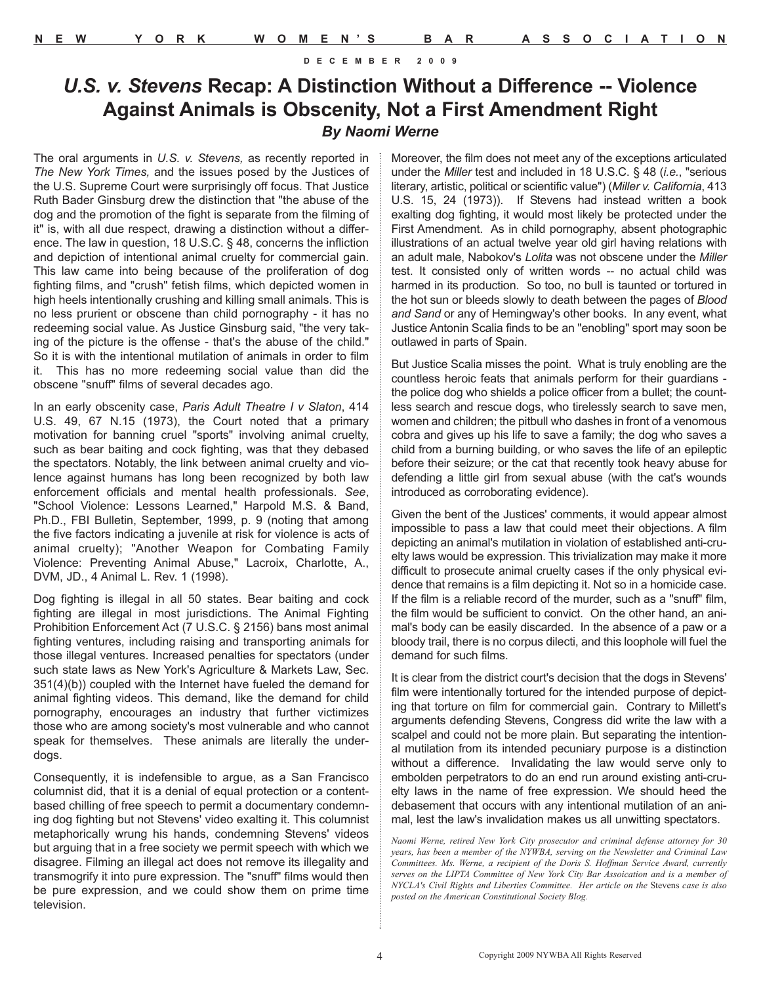#### *U.S. v. Stevens* **Recap: A Distinction Without a Difference -- Violence Against Animals is Obscenity, Not a First Amendment Right** *By Naomi Werne*

The oral arguments in *U.S. v. Stevens,* as recently reported in *The New York Times,* and the issues posed by the Justices of the U.S. Supreme Court were surprisingly off focus. That Justice Ruth Bader Ginsburg drew the distinction that "the abuse of the dog and the promotion of the fight is separate from the filming of it" is, with all due respect, drawing a distinction without a difference. The law in question, 18 U.S.C. § 48, concerns the infliction and depiction of intentional animal cruelty for commercial gain. This law came into being because of the proliferation of dog fighting films, and "crush" fetish films, which depicted women in high heels intentionally crushing and killing small animals. This is no less prurient or obscene than child pornography - it has no redeeming social value. As Justice Ginsburg said, "the very taking of the picture is the offense - that's the abuse of the child." So it is with the intentional mutilation of animals in order to film it. This has no more redeeming social value than did the obscene "snuff" films of several decades ago.

In an early obscenity case, *Paris Adult Theatre I v Slaton*, 414 U.S. 49, 67 N.15 (1973), the Court noted that a primary motivation for banning cruel "sports" involving animal cruelty, such as bear baiting and cock fighting, was that they debased the spectators. Notably, the link between animal cruelty and violence against humans has long been recognized by both law enforcement officials and mental health professionals. *See*, "School Violence: Lessons Learned," Harpold M.S. & Band, Ph.D., FBI Bulletin, September, 1999, p. 9 (noting that among the five factors indicating a juvenile at risk for violence is acts of animal cruelty); "Another Weapon for Combating Family Violence: Preventing Animal Abuse," Lacroix, Charlotte, A., DVM, JD., 4 Animal L. Rev. 1 (1998).

Dog fighting is illegal in all 50 states. Bear baiting and cock fighting are illegal in most jurisdictions. The Animal Fighting Prohibition Enforcement Act (7 U.S.C. § 2156) bans most animal fighting ventures, including raising and transporting animals for those illegal ventures. Increased penalties for spectators (under such state laws as New York's Agriculture & Markets Law, Sec. 351(4)(b)) coupled with the Internet have fueled the demand for animal fighting videos. This demand, like the demand for child pornography, encourages an industry that further victimizes those who are among society's most vulnerable and who cannot speak for themselves. These animals are literally the underdogs.

Consequently, it is indefensible to argue, as a San Francisco columnist did, that it is a denial of equal protection or a contentbased chilling of free speech to permit a documentary condemning dog fighting but not Stevens' video exalting it. This columnist metaphorically wrung his hands, condemning Stevens' videos but arguing that in a free society we permit speech with which we disagree. Filming an illegal act does not remove its illegality and transmogrify it into pure expression. The "snuff" films would then be pure expression, and we could show them on prime time television.

Moreover, the film does not meet any of the exceptions articulated under the *Miller* test and included in 18 U.S.C. § 48 (*i.e.*, "serious literary, artistic, political or scientific value") (*Miller v. California*, 413 U.S. 15, 24 (1973)). If Stevens had instead written a book exalting dog fighting, it would most likely be protected under the First Amendment. As in child pornography, absent photographic illustrations of an actual twelve year old girl having relations with an adult male, Nabokov's *Lolita* was not obscene under the *Miller* test. It consisted only of written words -- no actual child was harmed in its production. So too, no bull is taunted or tortured in the hot sun or bleeds slowly to death between the pages of *Blood and Sand* or any of Hemingway's other books. In any event, what Justice Antonin Scalia finds to be an "enobling" sport may soon be outlawed in parts of Spain.

But Justice Scalia misses the point. What is truly enobling are the countless heroic feats that animals perform for their guardians the police dog who shields a police officer from a bullet; the countless search and rescue dogs, who tirelessly search to save men, women and children; the pitbull who dashes in front of a venomous cobra and gives up his life to save a family; the dog who saves a child from a burning building, or who saves the life of an epileptic before their seizure; or the cat that recently took heavy abuse for defending a little girl from sexual abuse (with the cat's wounds introduced as corroborating evidence).

Given the bent of the Justices' comments, it would appear almost impossible to pass a law that could meet their objections. A film depicting an animal's mutilation in violation of established anti-cruelty laws would be expression. This trivialization may make it more difficult to prosecute animal cruelty cases if the only physical evidence that remains is a film depicting it. Not so in a homicide case. If the film is a reliable record of the murder, such as a "snuff" film, the film would be sufficient to convict. On the other hand, an animal's body can be easily discarded. In the absence of a paw or a bloody trail, there is no corpus dilecti, and this loophole will fuel the demand for such films.

It is clear from the district court's decision that the dogs in Stevens' film were intentionally tortured for the intended purpose of depicting that torture on film for commercial gain. Contrary to Millett's arguments defending Stevens, Congress did write the law with a scalpel and could not be more plain. But separating the intentional mutilation from its intended pecuniary purpose is a distinction without a difference. Invalidating the law would serve only to embolden perpetrators to do an end run around existing anti-cruelty laws in the name of free expression. We should heed the debasement that occurs with any intentional mutilation of an animal, lest the law's invalidation makes us all unwitting spectators.

*Naomi Werne, retired New York City prosecutor and criminal defense attorney for 30 years, has been a member of the NYWBA, serving on the Newsletter and Criminal Law Committees. Ms. Werne, a recipient of the Doris S. Hoffman Service Award, currently serves on the LIPTA Committee of New York City Bar Assoication and is a member of NYCLA's Civil Rights and Liberties Committee. Her article on the* Stevens *case is also posted on the American Constitutional Society Blog.*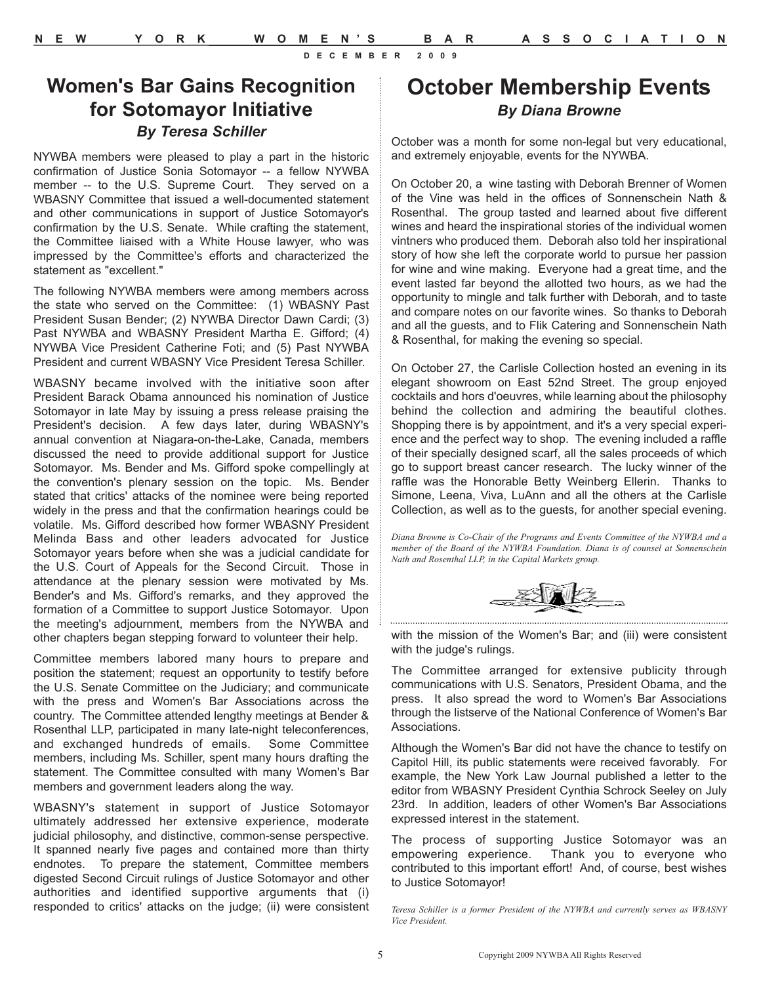## **October Membership Events** *By Diana Browne*

October was a month for some non-legal but very educational, and extremely enjoyable, events for the NYWBA.

On October 20, a wine tasting with Deborah Brenner of Women of the Vine was held in the offices of Sonnenschein Nath & Rosenthal. The group tasted and learned about five different wines and heard the inspirational stories of the individual women vintners who produced them. Deborah also told her inspirational story of how she left the corporate world to pursue her passion for wine and wine making. Everyone had a great time, and the event lasted far beyond the allotted two hours, as we had the opportunity to mingle and talk further with Deborah, and to taste and compare notes on our favorite wines. So thanks to Deborah and all the guests, and to Flik Catering and Sonnenschein Nath & Rosenthal, for making the evening so special.

On October 27, the Carlisle Collection hosted an evening in its elegant showroom on East 52nd Street. The group enjoyed cocktails and hors d'oeuvres, while learning about the philosophy behind the collection and admiring the beautiful clothes. Shopping there is by appointment, and it's a very special experience and the perfect way to shop. The evening included a raffle of their specially designed scarf, all the sales proceeds of which go to support breast cancer research. The lucky winner of the raffle was the Honorable Betty Weinberg Ellerin. Thanks to Simone, Leena, Viva, LuAnn and all the others at the Carlisle Collection, as well as to the guests, for another special evening.

*Diana Browne is Co-Chair of the Programs and Events Committee of the NYWBA and a member of the Board of the NYWBA Foundation. Diana is of counsel at Sonnenschein Nath and Rosenthal LLP, in the Capital Markets group.*



with the mission of the Women's Bar; and (iii) were consistent with the judge's rulings.

The Committee arranged for extensive publicity through communications with U.S. Senators, President Obama, and the press. It also spread the word to Women's Bar Associations through the listserve of the National Conference of Women's Bar Associations.

Although the Women's Bar did not have the chance to testify on Capitol Hill, its public statements were received favorably. For example, the New York Law Journal published a letter to the editor from WBASNY President Cynthia Schrock Seeley on July 23rd. In addition, leaders of other Women's Bar Associations expressed interest in the statement.

The process of supporting Justice Sotomayor was an empowering experience. Thank you to everyone who contributed to this important effort! And, of course, best wishes to Justice Sotomayor!

*Teresa Schiller is a former President of the NYWBA and currently serves as WBASNY Vice President.*

**Women's Bar Gains Recognition for Sotomayor Initiative** *By Teresa Schiller*

NYWBA members were pleased to play a part in the historic confirmation of Justice Sonia Sotomayor -- a fellow NYWBA member -- to the U.S. Supreme Court. They served on a WBASNY Committee that issued a well-documented statement and other communications in support of Justice Sotomayor's confirmation by the U.S. Senate. While crafting the statement, the Committee liaised with a White House lawyer, who was impressed by the Committee's efforts and characterized the statement as "excellent."

The following NYWBA members were among members across the state who served on the Committee: (1) WBASNY Past President Susan Bender; (2) NYWBA Director Dawn Cardi; (3) Past NYWBA and WBASNY President Martha E. Gifford; (4) NYWBA Vice President Catherine Foti; and (5) Past NYWBA President and current WBASNY Vice President Teresa Schiller.

WBASNY became involved with the initiative soon after President Barack Obama announced his nomination of Justice Sotomayor in late May by issuing a press release praising the President's decision. A few days later, during WBASNY's annual convention at Niagara-on-the-Lake, Canada, members discussed the need to provide additional support for Justice Sotomayor. Ms. Bender and Ms. Gifford spoke compellingly at the convention's plenary session on the topic. Ms. Bender stated that critics' attacks of the nominee were being reported widely in the press and that the confirmation hearings could be volatile. Ms. Gifford described how former WBASNY President Melinda Bass and other leaders advocated for Justice Sotomayor years before when she was a judicial candidate for the U.S. Court of Appeals for the Second Circuit. Those in attendance at the plenary session were motivated by Ms. Bender's and Ms. Gifford's remarks, and they approved the formation of a Committee to support Justice Sotomayor. Upon the meeting's adjournment, members from the NYWBA and other chapters began stepping forward to volunteer their help.

Committee members labored many hours to prepare and position the statement; request an opportunity to testify before the U.S. Senate Committee on the Judiciary; and communicate with the press and Women's Bar Associations across the country. The Committee attended lengthy meetings at Bender & Rosenthal LLP, participated in many late-night teleconferences, and exchanged hundreds of emails. Some Committee members, including Ms. Schiller, spent many hours drafting the statement. The Committee consulted with many Women's Bar members and government leaders along the way.

WBASNY's statement in support of Justice Sotomayor ultimately addressed her extensive experience, moderate judicial philosophy, and distinctive, common-sense perspective. It spanned nearly five pages and contained more than thirty endnotes. To prepare the statement, Committee members digested Second Circuit rulings of Justice Sotomayor and other authorities and identified supportive arguments that (i) responded to critics' attacks on the judge; (ii) were consistent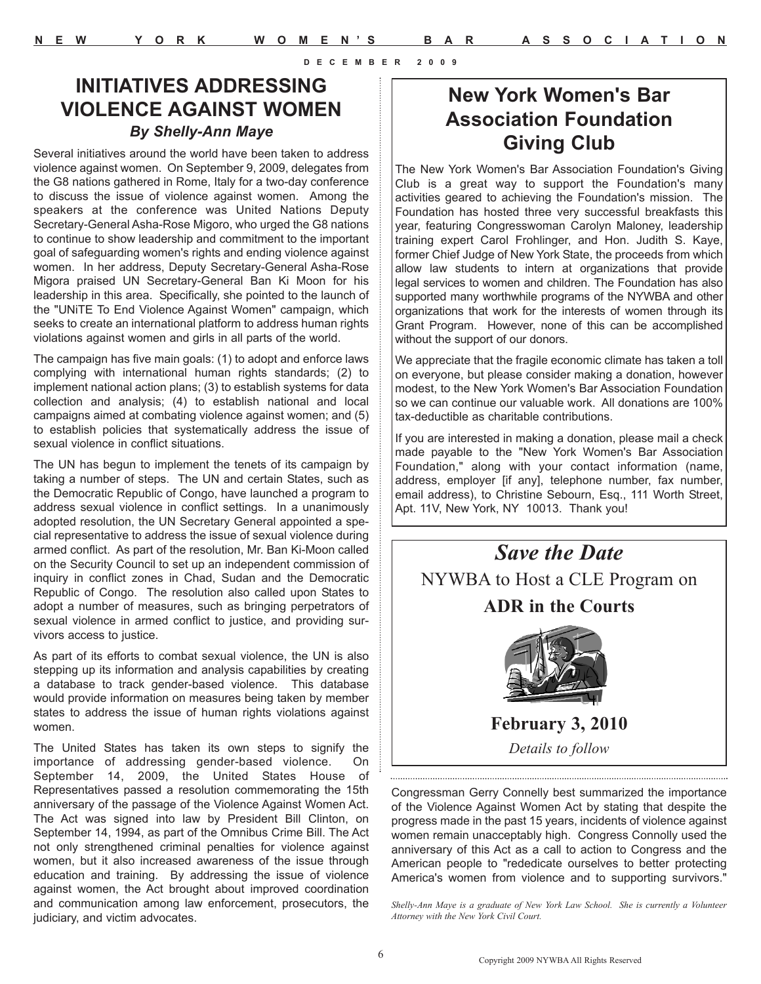#### **INITIATIVES ADDRESSING VIOLENCE AGAINST WOMEN** *By Shelly-Ann Maye*

Several initiatives around the world have been taken to address violence against women. On September 9, 2009, delegates from the G8 nations gathered in Rome, Italy for a two-day conference to discuss the issue of violence against women. Among the speakers at the conference was United Nations Deputy Secretary-General Asha-Rose Migoro, who urged the G8 nations to continue to show leadership and commitment to the important goal of safeguarding women's rights and ending violence against women. In her address, Deputy Secretary-General Asha-Rose Migora praised UN Secretary-General Ban Ki Moon for his leadership in this area. Specifically, she pointed to the launch of the "UNiTE To End Violence Against Women" campaign, which seeks to create an international platform to address human rights violations against women and girls in all parts of the world.

The campaign has five main goals: (1) to adopt and enforce laws complying with international human rights standards; (2) to implement national action plans; (3) to establish systems for data collection and analysis; (4) to establish national and local campaigns aimed at combating violence against women; and (5) to establish policies that systematically address the issue of sexual violence in conflict situations.

The UN has begun to implement the tenets of its campaign by taking a number of steps. The UN and certain States, such as the Democratic Republic of Congo, have launched a program to address sexual violence in conflict settings. In a unanimously adopted resolution, the UN Secretary General appointed a special representative to address the issue of sexual violence during armed conflict. As part of the resolution, Mr. Ban Ki-Moon called on the Security Council to set up an independent commission of inquiry in conflict zones in Chad, Sudan and the Democratic Republic of Congo. The resolution also called upon States to adopt a number of measures, such as bringing perpetrators of sexual violence in armed conflict to justice, and providing survivors access to justice.

As part of its efforts to combat sexual violence, the UN is also stepping up its information and analysis capabilities by creating a database to track gender-based violence. This database would provide information on measures being taken by member states to address the issue of human rights violations against women.

The United States has taken its own steps to signify the importance of addressing gender-based violence. On September 14, 2009, the United States House of Representatives passed a resolution commemorating the 15th anniversary of the passage of the Violence Against Women Act. The Act was signed into law by President Bill Clinton, on September 14, 1994, as part of the Omnibus Crime Bill. The Act not only strengthened criminal penalties for violence against women, but it also increased awareness of the issue through education and training. By addressing the issue of violence against women, the Act brought about improved coordination and communication among law enforcement, prosecutors, the judiciary, and victim advocates.

# **New York Women's Bar Association Foundation Giving Club**

The New York Women's Bar Association Foundation's Giving Club is a great way to support the Foundation's many activities geared to achieving the Foundation's mission. The Foundation has hosted three very successful breakfasts this year, featuring Congresswoman Carolyn Maloney, leadership training expert Carol Frohlinger, and Hon. Judith S. Kaye, former Chief Judge of New York State, the proceeds from which allow law students to intern at organizations that provide legal services to women and children. The Foundation has also supported many worthwhile programs of the NYWBA and other organizations that work for the interests of women through its Grant Program. However, none of this can be accomplished without the support of our donors.

We appreciate that the fragile economic climate has taken a toll on everyone, but please consider making a donation, however modest, to the New York Women's Bar Association Foundation so we can continue our valuable work. All donations are 100% tax-deductible as charitable contributions.

If you are interested in making a donation, please mail a check made payable to the "New York Women's Bar Association Foundation," along with your contact information (name, address, employer [if any], telephone number, fax number, email address), to Christine Sebourn, Esq., 111 Worth Street, Apt. 11V, New York, NY 10013. Thank you!



Congressman Gerry Connelly best summarized the importance of the Violence Against Women Act by stating that despite the progress made in the past 15 years, incidents of violence against women remain unacceptably high. Congress Connolly used the anniversary of this Act as a call to action to Congress and the American people to "rededicate ourselves to better protecting America's women from violence and to supporting survivors."

*Shelly-Ann Maye is a graduate of New York Law School. She is currently a Volunteer Attorney with the New York Civil Court.*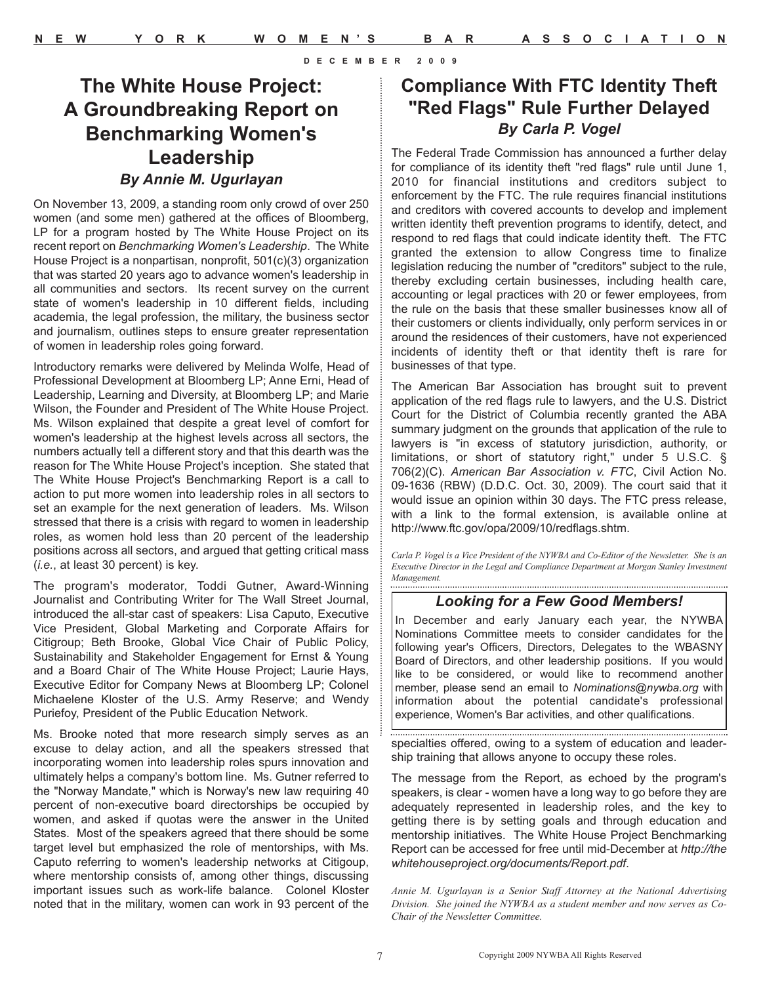## **The White House Project: A Groundbreaking Report on Benchmarking Women's Leadership** *By Annie M. Ugurlayan*

On November 13, 2009, a standing room only crowd of over 250 women (and some men) gathered at the offices of Bloomberg, LP for a program hosted by The White House Project on its recent report on *Benchmarking Women's Leadership*. The White House Project is a nonpartisan, nonprofit, 501(c)(3) organization that was started 20 years ago to advance women's leadership in all communities and sectors. Its recent survey on the current state of women's leadership in 10 different fields, including academia, the legal profession, the military, the business sector and journalism, outlines steps to ensure greater representation of women in leadership roles going forward.

Introductory remarks were delivered by Melinda Wolfe, Head of Professional Development at Bloomberg LP; Anne Erni, Head of Leadership, Learning and Diversity, at Bloomberg LP; and Marie Wilson, the Founder and President of The White House Project. Ms. Wilson explained that despite a great level of comfort for women's leadership at the highest levels across all sectors, the numbers actually tell a different story and that this dearth was the reason for The White House Project's inception. She stated that The White House Project's Benchmarking Report is a call to action to put more women into leadership roles in all sectors to set an example for the next generation of leaders. Ms. Wilson stressed that there is a crisis with regard to women in leadership roles, as women hold less than 20 percent of the leadership positions across all sectors, and argued that getting critical mass (*i.e.*, at least 30 percent) is key.

The program's moderator, Toddi Gutner, Award-Winning Journalist and Contributing Writer for The Wall Street Journal, introduced the all-star cast of speakers: Lisa Caputo, Executive Vice President, Global Marketing and Corporate Affairs for Citigroup; Beth Brooke, Global Vice Chair of Public Policy, Sustainability and Stakeholder Engagement for Ernst & Young and a Board Chair of The White House Project; Laurie Hays, Executive Editor for Company News at Bloomberg LP; Colonel Michaelene Kloster of the U.S. Army Reserve; and Wendy Puriefoy, President of the Public Education Network.

Ms. Brooke noted that more research simply serves as an excuse to delay action, and all the speakers stressed that incorporating women into leadership roles spurs innovation and ultimately helps a company's bottom line. Ms. Gutner referred to the "Norway Mandate," which is Norway's new law requiring 40 percent of non-executive board directorships be occupied by women, and asked if quotas were the answer in the United States. Most of the speakers agreed that there should be some target level but emphasized the role of mentorships, with Ms. Caputo referring to women's leadership networks at Citigoup, where mentorship consists of, among other things, discussing important issues such as work-life balance. Colonel Kloster noted that in the military, women can work in 93 percent of the

#### **Compliance With FTC Identity Theft "Red Flags" Rule Further Delayed** *By Carla P. Vogel*

The Federal Trade Commission has announced a further delay for compliance of its identity theft "red flags" rule until June 1, 2010 for financial institutions and creditors subject to enforcement by the FTC. The rule requires financial institutions and creditors with covered accounts to develop and implement written identity theft prevention programs to identify, detect, and respond to red flags that could indicate identity theft. The FTC granted the extension to allow Congress time to finalize legislation reducing the number of "creditors" subject to the rule, thereby excluding certain businesses, including health care, accounting or legal practices with 20 or fewer employees, from the rule on the basis that these smaller businesses know all of their customers or clients individually, only perform services in or around the residences of their customers, have not experienced incidents of identity theft or that identity theft is rare for businesses of that type.

The American Bar Association has brought suit to prevent application of the red flags rule to lawyers, and the U.S. District Court for the District of Columbia recently granted the ABA summary judgment on the grounds that application of the rule to lawyers is "in excess of statutory jurisdiction, authority, or limitations, or short of statutory right," under 5 U.S.C. § 706(2)(C). *American Bar Association v. FTC*, Civil Action No. 09-1636 (RBW) (D.D.C. Oct. 30, 2009). The court said that it would issue an opinion within 30 days. The FTC press release, with a link to the formal extension, is available online at http://www.ftc.gov/opa/2009/10/redflags.shtm.

*Carla P. Vogel is a Vice President of the NYWBA and Co-Editor of the Newsletter. She is an Executive Director in the Legal and Compliance Department at Morgan Stanley Investment Management.* 

#### *Looking for a Few Good Members!*

In December and early January each year, the NYWBA Nominations Committee meets to consider candidates for the following year's Officers, Directors, Delegates to the WBASNY Board of Directors, and other leadership positions. If you would like to be considered, or would like to recommend another member, please send an email to *Nominations@nywba.org* with information about the potential candidate's professional experience, Women's Bar activities, and other qualifications.

specialties offered, owing to a system of education and leadership training that allows anyone to occupy these roles.

The message from the Report, as echoed by the program's speakers, is clear - women have a long way to go before they are adequately represented in leadership roles, and the key to getting there is by setting goals and through education and mentorship initiatives. The White House Project Benchmarking Report can be accessed for free until mid-December at *http://the whitehouseproject.org/documents/Report.pdf*.

*Annie M. Ugurlayan is a Senior Staff Attorney at the National Advertising Division. She joined the NYWBA as a student member and now serves as Co-Chair of the Newsletter Committee.*